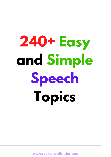# **240+ Easy and Simple Speech Topics**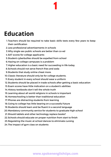## **Education**

1.Teachers should be required to take basic skills tests every few years to keep their certification

**1**

- Less professional advertisements in schools 2.
- Why single-sex public schools are better than co-ed 3.
- 4. SAT scores for college applicants
- Student cyberbullies should be expelled from school 5.
- 6. Hazing on college campuses is a problem
- 7. Higher education is a basic need for succeeding in life today.
- Schools should not serve french fries and soda 8.
- Students that study online cheat more. 9.
- 10. Classic literature should only be for college students.
- Every student in every school should wear a uniform 11.
- 12. Students should be placed in trade schools after getting a basic education
- Exam scores have little indication on a student's abilities 13.
- 14. History textbooks don't tell the whole truth
- 15. Learning about all world religions in schools is important
- 16. Homeschooling is better than traditional education
- 17. Phones are distracting students from learning
- 18. Going to college has little bearing on a successful future
- 19. Students should learn and be fluent in a second language
- Mandatory community service for students to graduate high school 20.
- 21. Should tablets and other technology replace books?
- 22. Schools should educate on proper nutrition from start to finish
- 23. Regulating the music at school dances to eliminate cursing
- 24. The impact of gym class on students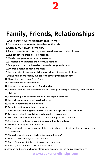

## **Family, Friends, Relationships**

- 1. Dual-parent households benefit children more.
- 2. Couples are wrong to stay together for the kids.
- 3.A family must always come first.
- 4. Parents need to stop forcing their own dreams on their children.
- 5. Live together before getting married.
- Married couples must have date nights. 6.
- 7. Breastfeeding is better than formula feeding
- 8. Discipline should be based on rewards, not punishment
- Divorce doesn't damage children. 9.
- 10. Lower cost childcare or childcare provided at every workplace
- Make help more readily available to single pregnant mothers 11.
- 12. Never borrow money from friends.
- 13. Pros and cons of abstinence
- 14. Imposing a curfew on kids 17 and under
- 15. Parents should be accountable for not providing a healthy diet to their children
- 16. Kids having jam-packed schedules isn't good for them
- 17. Long-distance relationships don't work.
- 18. It's not good to be an only child.
- 19. Families eating together is [important](https://www.sparkpeople.com/resource/nutrition_articles.asp?id=439)
- 20. Kids today are being made to be selfish, disrespectful, and entitled
- 21. Teenagers should contribute to household expenses
- 22. The need for parental consent to give teen girls birth control
- 23. Restrictions on how many children one family can have
- 24. Free counseling to at-risk youth
- 25. Parents' right to give consent for their child to drink at home under the supervision
- 26. Should parents respect kids' privacy at all times?
- 27. How it takes a village to raise a child
- 28. Parent's responsibility to discuss sex education
- 29. Video game violence causes violent kids
- 30. Imposing better and more affordable options for the aging community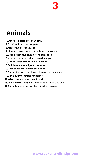

## **Animals**

- 1. Dogs are better pets than cats.
- 2. Exotic animals are not pets.
- 3. Neutering pets is a must.
- 4. Humans have turned pit bulls into monsters.
- 5.Zoos do not give animals enough space.
- 6. Adopt don't shop is key to getting a pet.
- 7. Birds are not meant to live in cages.
- 8. Dolphins are intelligent creatures.
- 9. Zoos cause more harm than good
- 10. Euthanize dogs that have bitten more than once
- 11. Ban slaughterhouses for horses
- Why dogs are man's best friend 12.
- 13. Not allowing people to keep exotic animals as pets
- 14. Pit bulls aren't the [problem,](https://www.dogsbite.org/dangerous-dogs-pit-bull-myths.php) it's their owners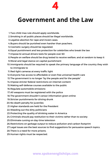

### **Government and the Law**

- 1. Two child max rule should apply worldwide.
- 2. Smoking in all public places should be illegal worldwide.
- 3. Legalize abortion for rape and incest cases.
- 4. Buyers should be punished even harsher than poachers.
- 5. Cosmetic surgery should be regulated.
- 6. Equal punishment and less protection for celebrities who break the law
- 7. Impose bi-annual drivers tests for people over 60
- 8. People on welfare should be drug tested to receive welfare, and at random to keep it
- Moral and legal stance on capital punishment 9.
- 10. Immigrants should be required to speak the primary language of the country they wish to immigrate to
- 11. Red-light cameras at every traffic light
- Everyone has access to affordable or even free universal health care 12.
- 13. The government is no longer "by the people and for the people"
- 14. Impose stricter federal restrictions on internet content
- 15. Making self-defense courses available to the public
- 16. Regulate automobile emissions
- 17. All weapons must be registered with the police
- 18. The government shouldn't censor information given online
- 19. Stricter punishments for driving drunk
- 20. No death penalty for juveniles
- 21. Higher standards are held for the President
- 22. Weeding out the dirty politicians
- 23. Protecting the quality of drinking water in America
- 24. Criminals should pay restitution to their victims rather than to society
- 25. Eliminate cursing on day-time television
- 26. Restrictions on garbage output to reduce pollution and carbon footprint
- 27. Legal issues are the best sources to find suggestions for persuasive speech topics.
- 28. There is a need for more prisons.
- 29. Human rights must be respected.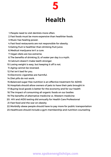

## **Health**

- 1. People need to visit dentists more often.
- Fast foods must be more expensive than healthier foods. 2.
- 3. Music has healing power.
- 4. Fast food restaurants are not responsible for obesity.
- Eating fruit is healthier than drinking fruit juice. 5.
- Medical marijuana isn't a cure. 6.
- Vegan diets are too extreme. 7.
- 8. The benefits of drinking 2L of water per day is a myth.
- Calcium doesn't make teeth stronger. 9.
- 10. Losing weight is easy, but keeping it off is not.
- 11. Aging cannot be reversed.
- 12. Fat isn't bad for you.
- 13. Electronic cigarettes are harmful.
- 14. Diet pills do not work.
- 15. Balanced sugar-free nutrition is an effective treatment for ADHD.
- 16. Hospitals should allow owners of pets to have their pets brought in
- 17. Buying local goods is better for the economy and for our health
- 18. The impact of consuming all organic foods on our bodies
- 19. The benefits of alternative medicine vs. Western medicine
- 20. HIV and AIDS testing did annually for Health Care Professional
- 21. Fast food and the war on obesity
- 22. Morbidly obese people should have to pay more for public transportation
- 23. Healthcare should include a gym membership and nutrition counseling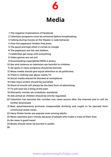

## **Media**

- 1. The negative implications of Facebook
- 2. Television programs must be censored before broadcasting.
- 3. Talking during movies at the theater is rude behavior.
- 4. How the paparazzi hinders free press
- 5. The good and bad when it comes to Google
- 6. The paparazzi are the real stalkers.
- 7. Celebrities get away with everything.
- 8. Video games are not evil.
- 9. Downloading copyrighted MP3s is piracy.
- 10.Sex and violence on television are harmful to children.
- 11. Ad spots in news programs should be banned.
- 12. News media should give equal attention to all politicians.
- 13. There is nothing real about reality TV.
- 14. Social media should be blocked at workplaces.
- 15. Fake news writers should be punished.
- Word of mouth will always be the best form of advertising. 16.
- 17. TV will soon be a thing of the past.
- 18. Romantic movies set unrealistic standards.
- 19. Ads aimed at children should be strictly regulated.
- 20. Television has become the number two news source after the internet and tv will be further downsized.
- 21. Beer advertisements promote irresponsible drinking and ought to be banned from communal street views.
- 22. Harry Potter books are popular even among adults.
- 23. News reporters earn money because of people who make a mess of their lives.
- 24. No news is good news!
- 25. Books should never be burned in public.

26.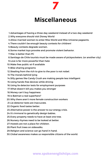

## **Miscellaneous**

- Advantages of having a three-day weekend instead of a two-day weekend 1.
- Why everyone should visit Disney World 2.
- 3. Allow married women to enter Miss World and Miss Universe pageants.
- There couldn't be enough beauty contests for children! 4.
- 5. Beauty contests degrade women.
- Some market toys provoke and promote violent behavior. 6.
- 7. Mac is better than PC
- Santiago de Chile tourists must be made aware of pickpocketers. (or another city) 8.
- 9. Love is far more powerful than hate
- 10. Make free public wi-fi available
- 11. Bike-sharing programs
- 12. Stealing from the rich to give to the poor is not nobel.
- 13. The morals behind lying
- 14. Silly games like Candy Crush are making people less intelligent
- Using hands-free devices while driving 15.
- 16. Using lie detector tests for employment purposes
- What doesn't kill you makes you stronger 17.
- 18. Money can't buy happiness
- 19. Is Batman a real superhero?
- 20. Why there aren't more female construction workers
- 21. Lie detector tests are inaccurate.
- 22. Organic food tastes better.
- 23. Alternative power is the answer to our energy crisis.
- 24. It's immoral to genetically design babies.
- 25. Every property needs to have at least one tree.
- 26. Nursery rhymes need to be looked at better.
- 27. Hostels are not a place for children.
- 28. Plant fruit trees on sidewalks.
- 29. Religion and science can go hand in hand.
- 30. Global awareness makes us responsible citizens of the world.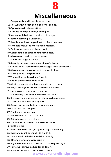

- Everyone should know how to swim. 1.
- 2. Not wearing a seat belt a personal choice.
- 3. Opposites will always attract.
- Climate change is always changing. 4.
- 5. Not enough is done to end world hunger.
- 6. Battery farming is unethical.
- People shouldn't be paying for drivers licenses. 7.
- 8. Smokers make the most acquaintances.
- 9. First impressions are always right.
- 10. Cash should be abandoned completely.
- Allow mind reading during poker. 11.
- 12. Minimum wage is too low.
- 13. Security cameras are an invasion of privacy.
- Clients don't want birthday messages from businesses. 14.
- 15. Allow casual dress clothes in the workplace.
- 16. Make public transport free.
- 17. The welfare system doesn't work.
- 18. Organ donors should be paid.
- 19.All kids on a winning team should get a trophy.
- 20. Illegal immigrants don't harm the economy.
- 21. Humans are vegetarian by nature.
- 22. Self-driving cars will cause fewer accidents.
- 23. It is time to include internet slang to dictionaries.
- 24. Teens are unfairly stereotyped.
- 25. Group homes are better than foster care.
- 26. Guns don't kill people.
- 27. Fracking is dangerous.
- 28. Money isn't the root of all evil.
- 29. Being homeless is a choice.
- 30.The school curriculum is too overloaded.
- 31.Graffiti is art.
- 32. Priests shouldn't be giving marriage counseling.
- 33. Everyone must be taught to do CPR.
- 34.Juvenile crime is dealt with incorrectly.
- 35. Older generations were crueler.
- 36. Royal families are not needed in this day and age.
- 37. Fame will always be bad for children.
- 38. Prisoners must not be allowed tovote.